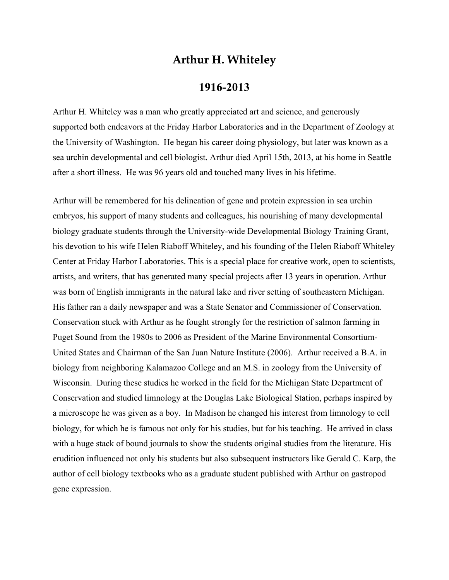## **Arthur H. Whiteley**

## **1916-2013**

Arthur H. Whiteley was a man who greatly appreciated art and science, and generously supported both endeavors at the Friday Harbor Laboratories and in the Department of Zoology at the University of Washington. He began his career doing physiology, but later was known as a sea urchin developmental and cell biologist. Arthur died April 15th, 2013, at his home in Seattle after a short illness. He was 96 years old and touched many lives in his lifetime.

Arthur will be remembered for his delineation of gene and protein expression in sea urchin embryos, his support of many students and colleagues, his nourishing of many developmental biology graduate students through the University-wide Developmental Biology Training Grant, his devotion to his wife Helen Riaboff Whiteley, and his founding of the Helen Riaboff Whiteley Center at Friday Harbor Laboratories. This is a special place for creative work, open to scientists, artists, and writers, that has generated many special projects after 13 years in operation. Arthur was born of English immigrants in the natural lake and river setting of southeastern Michigan. His father ran a daily newspaper and was a State Senator and Commissioner of Conservation. Conservation stuck with Arthur as he fought strongly for the restriction of salmon farming in Puget Sound from the 1980s to 2006 as President of the Marine Environmental Consortium-United States and Chairman of the San Juan Nature Institute (2006). Arthur received a B.A. in biology from neighboring Kalamazoo College and an M.S. in zoology from the University of Wisconsin. During these studies he worked in the field for the Michigan State Department of Conservation and studied limnology at the Douglas Lake Biological Station, perhaps inspired by a microscope he was given as a boy. In Madison he changed his interest from limnology to cell biology, for which he is famous not only for his studies, but for his teaching. He arrived in class with a huge stack of bound journals to show the students original studies from the literature. His erudition influenced not only his students but also subsequent instructors like Gerald C. Karp, the author of cell biology textbooks who as a graduate student published with Arthur on gastropod gene expression.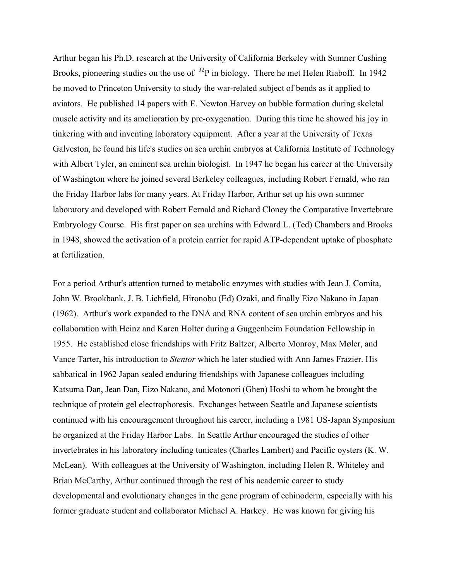Arthur began his Ph.D. research at the University of California Berkeley with Sumner Cushing Brooks, pioneering studies on the use of  $^{32}P$  in biology. There he met Helen Riaboff. In 1942 he moved to Princeton University to study the war-related subject of bends as it applied to aviators. He published 14 papers with E. Newton Harvey on bubble formation during skeletal muscle activity and its amelioration by pre-oxygenation. During this time he showed his joy in tinkering with and inventing laboratory equipment. After a year at the University of Texas Galveston, he found his life's studies on sea urchin embryos at California Institute of Technology with Albert Tyler, an eminent sea urchin biologist. In 1947 he began his career at the University of Washington where he joined several Berkeley colleagues, including Robert Fernald, who ran the Friday Harbor labs for many years. At Friday Harbor, Arthur set up his own summer laboratory and developed with Robert Fernald and Richard Cloney the Comparative Invertebrate Embryology Course. His first paper on sea urchins with Edward L. (Ted) Chambers and Brooks in 1948, showed the activation of a protein carrier for rapid ATP-dependent uptake of phosphate at fertilization.

For a period Arthur's attention turned to metabolic enzymes with studies with Jean J. Comita, John W. Brookbank, J. B. Lichfield, Hironobu (Ed) Ozaki, and finally Eizo Nakano in Japan (1962). Arthur's work expanded to the DNA and RNA content of sea urchin embryos and his collaboration with Heinz and Karen Holter during a Guggenheim Foundation Fellowship in 1955. He established close friendships with Fritz Baltzer, Alberto Monroy, Max Møler, and Vance Tarter, his introduction to *Stentor* which he later studied with Ann James Frazier. His sabbatical in 1962 Japan sealed enduring friendships with Japanese colleagues including Katsuma Dan, Jean Dan, Eizo Nakano, and Motonori (Ghen) Hoshi to whom he brought the technique of protein gel electrophoresis. Exchanges between Seattle and Japanese scientists continued with his encouragement throughout his career, including a 1981 US-Japan Symposium he organized at the Friday Harbor Labs. In Seattle Arthur encouraged the studies of other invertebrates in his laboratory including tunicates (Charles Lambert) and Pacific oysters (K. W. McLean). With colleagues at the University of Washington, including Helen R. Whiteley and Brian McCarthy, Arthur continued through the rest of his academic career to study developmental and evolutionary changes in the gene program of echinoderm, especially with his former graduate student and collaborator Michael A. Harkey. He was known for giving his